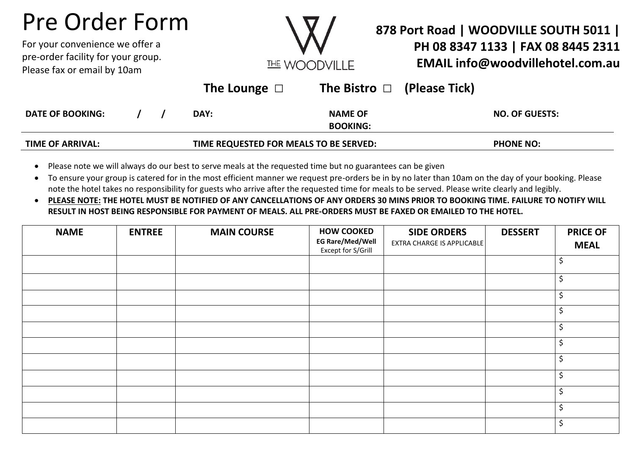## Pre Order Form

For your convenience we offer a pre-order facility for your group. Please fax or email by 10am



## **878 Port Road | WOODVILLE SOUTH 5011 | PH 08 8347 1133 | FAX 08 8445 2311 EMAIL info@woodvillehotel.com.au**

|                         |                                        |  | The Lounge $\Box$ | The Bistro $\Box$ (Please Tick) |                       |
|-------------------------|----------------------------------------|--|-------------------|---------------------------------|-----------------------|
| <b>DATE OF BOOKING:</b> |                                        |  | DAY:              | <b>NAME OF</b>                  | <b>NO. OF GUESTS:</b> |
|                         |                                        |  |                   | <b>BOOKING:</b>                 |                       |
| <b>TIME OF ARRIVAL:</b> | TIME REQUESTED FOR MEALS TO BE SERVED: |  | <b>PHONE NO:</b>  |                                 |                       |

- Please note we will always do our best to serve meals at the requested time but no guarantees can be given
- To ensure your group is catered for in the most efficient manner we request pre-orders be in by no later than 10am on the day of your booking. Please note the hotel takes no responsibility for guests who arrive after the requested time for meals to be served. Please write clearly and legibly.
- **PLEASE NOTE: THE HOTEL MUST BE NOTIFIED OF ANY CANCELLATIONS OF ANY ORDERS 30 MINS PRIOR TO BOOKING TIME. FAILURE TO NOTIFY WILL RESULT IN HOST BEING RESPONSIBLE FOR PAYMENT OF MEALS. ALL PRE-ORDERS MUST BE FAXED OR EMAILED TO THE HOTEL.**

| <b>NAME</b> | <b>ENTREE</b> | <b>MAIN COURSE</b> | <b>HOW COOKED</b><br><b>EG Rare/Med/Well</b><br>Except for S/Grill | <b>SIDE ORDERS</b><br><b>EXTRA CHARGE IS APPLICABLE</b> | <b>DESSERT</b> | <b>PRICE OF</b><br><b>MEAL</b> |
|-------------|---------------|--------------------|--------------------------------------------------------------------|---------------------------------------------------------|----------------|--------------------------------|
|             |               |                    |                                                                    |                                                         |                | \$                             |
|             |               |                    |                                                                    |                                                         |                | \$                             |
|             |               |                    |                                                                    |                                                         |                | \$                             |
|             |               |                    |                                                                    |                                                         |                | $\zeta$                        |
|             |               |                    |                                                                    |                                                         |                | \$                             |
|             |               |                    |                                                                    |                                                         |                | \$                             |
|             |               |                    |                                                                    |                                                         |                | \$                             |
|             |               |                    |                                                                    |                                                         |                | \$                             |
|             |               |                    |                                                                    |                                                         |                | $\zeta$                        |
|             |               |                    |                                                                    |                                                         |                | $\zeta$                        |
|             |               |                    |                                                                    |                                                         |                | $\zeta$                        |